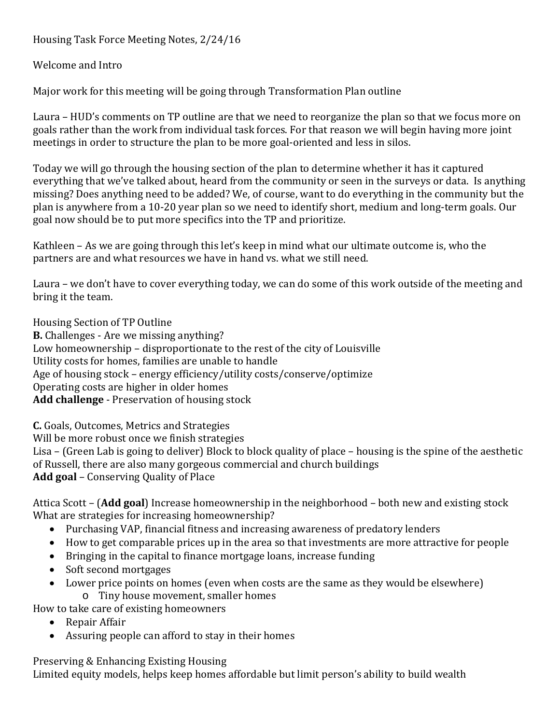Housing Task Force Meeting Notes, 2/24/16

Welcome and Intro

Major work for this meeting will be going through Transformation Plan outline

Laura – HUD's comments on TP outline are that we need to reorganize the plan so that we focus more on goals rather than the work from individual task forces. For that reason we will begin having more joint meetings in order to structure the plan to be more goal-oriented and less in silos.

Today we will go through the housing section of the plan to determine whether it has it captured everything that we've talked about, heard from the community or seen in the surveys or data. Is anything missing? Does anything need to be added? We, of course, want to do everything in the community but the plan is anywhere from a 10-20 year plan so we need to identify short, medium and long-term goals. Our goal now should be to put more specifics into the TP and prioritize.

Kathleen – As we are going through this let's keep in mind what our ultimate outcome is, who the partners are and what resources we have in hand vs. what we still need.

Laura – we don't have to cover everything today, we can do some of this work outside of the meeting and bring it the team.

Housing Section of TP Outline

**B.** Challenges - Are we missing anything? Low homeownership – disproportionate to the rest of the city of Louisville Utility costs for homes, families are unable to handle Age of housing stock – energy efficiency/utility costs/conserve/optimize Operating costs are higher in older homes **Add challenge** - Preservation of housing stock

**C.** Goals, Outcomes, Metrics and Strategies Will be more robust once we finish strategies Lisa – (Green Lab is going to deliver) Block to block quality of place – housing is the spine of the aesthetic of Russell, there are also many gorgeous commercial and church buildings **Add goal** – Conserving Quality of Place

Attica Scott – (**Add goal**) Increase homeownership in the neighborhood – both new and existing stock What are strategies for increasing homeownership?

- Purchasing VAP, financial fitness and increasing awareness of predatory lenders
- How to get comparable prices up in the area so that investments are more attractive for people
- Bringing in the capital to finance mortgage loans, increase funding
- Soft second mortgages
- Lower price points on homes (even when costs are the same as they would be elsewhere)
	- o Tiny house movement, smaller homes

How to take care of existing homeowners

- Repair Affair
- Assuring people can afford to stay in their homes

Preserving & Enhancing Existing Housing Limited equity models, helps keep homes affordable but limit person's ability to build wealth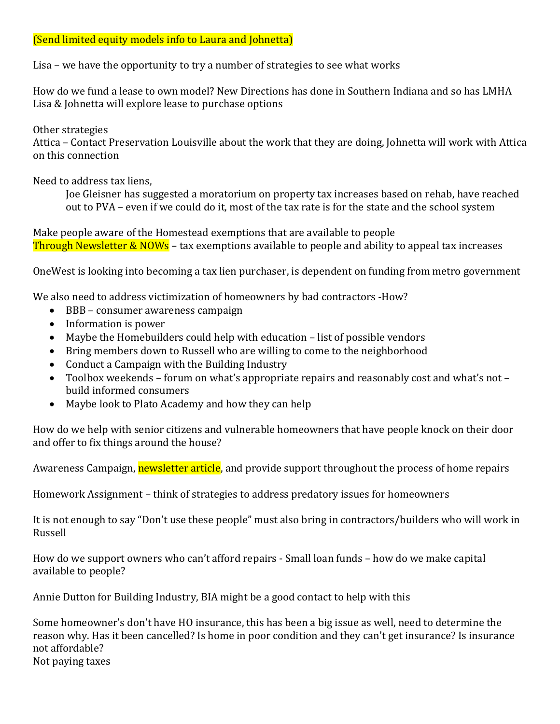## (Send limited equity models info to Laura and Johnetta)

Lisa – we have the opportunity to try a number of strategies to see what works

How do we fund a lease to own model? New Directions has done in Southern Indiana and so has LMHA Lisa & Johnetta will explore lease to purchase options

Other strategies Attica – Contact Preservation Louisville about the work that they are doing, Johnetta will work with Attica on this connection

Need to address tax liens,

Joe Gleisner has suggested a moratorium on property tax increases based on rehab, have reached out to PVA – even if we could do it, most of the tax rate is for the state and the school system

Make people aware of the Homestead exemptions that are available to people Through Newsletter & NOWs – tax exemptions available to people and ability to appeal tax increases

OneWest is looking into becoming a tax lien purchaser, is dependent on funding from metro government

We also need to address victimization of homeowners by bad contractors -How?

- BBB consumer awareness campaign
- Information is power
- Maybe the Homebuilders could help with education list of possible vendors
- Bring members down to Russell who are willing to come to the neighborhood
- Conduct a Campaign with the Building Industry
- Toolbox weekends forum on what's appropriate repairs and reasonably cost and what's not build informed consumers
- Maybe look to Plato Academy and how they can help

How do we help with senior citizens and vulnerable homeowners that have people knock on their door and offer to fix things around the house?

Awareness Campaign, **newsletter article**, and provide support throughout the process of home repairs

Homework Assignment – think of strategies to address predatory issues for homeowners

It is not enough to say "Don't use these people" must also bring in contractors/builders who will work in Russell

How do we support owners who can't afford repairs - Small loan funds – how do we make capital available to people?

Annie Dutton for Building Industry, BIA might be a good contact to help with this

Some homeowner's don't have HO insurance, this has been a big issue as well, need to determine the reason why. Has it been cancelled? Is home in poor condition and they can't get insurance? Is insurance not affordable? Not paying taxes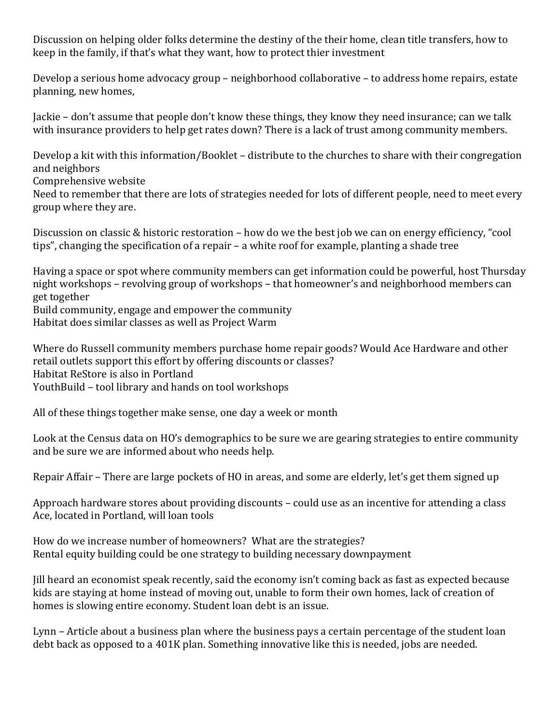Discussion on helping older folks determine the destiny of the their home, clean title transfers, how to keep in the family, if that's what they want, how to protect thier investment

Develop a serious home advocacy group – neighborhood collaborative – to address home repairs, estate planning, new homes,

Jackie – don't assume that people don't know these things, they know they need insurance; can we talk with insurance providers to help get rates down? There is a lack of trust among community members.

Develop a kit with this information/Booklet – distribute to the churches to share with their congregation and neighbors

Comprehensive website

Need to remember that there are lots of strategies needed for lots of different people, need to meet every group where they are.

Discussion on classic & historic restoration – how do we the best job we can on energy efficiency, "cool tips", changing the specification of a repair – a white roof for example, planting a shade tree

Having a space or spot where community members can get information could be powerful, host Thursday night workshops – revolving group of workshops – that homeowner's and neighborhood members can get together

Build community, engage and empower the community

Habitat does similar classes as well as Project Warm

Where do Russell community members purchase home repair goods? Would Ace Hardware and other retail outlets support this effort by offering discounts or classes? Habitat ReStore is also in Portland YouthBuild – tool library and hands on tool workshops

All of these things together make sense, one day a week or month

Look at the Census data on HO's demographics to be sure we are gearing strategies to entire community and be sure we are informed about who needs help.

Repair Affair – There are large pockets of HO in areas, and some are elderly, let's get them signed up

Approach hardware stores about providing discounts – could use as an incentive for attending a class Ace, located in Portland, will loan tools

How do we increase number of homeowners? What are the strategies? Rental equity building could be one strategy to building necessary downpayment

Jill heard an economist speak recently, said the economy isn't coming back as fast as expected because kids are staying at home instead of moving out, unable to form their own homes, lack of creation of homes is slowing entire economy. Student loan debt is an issue.

Lynn – Article about a business plan where the business pays a certain percentage of the student loan debt back as opposed to a 401K plan. Something innovative like this is needed, jobs are needed.